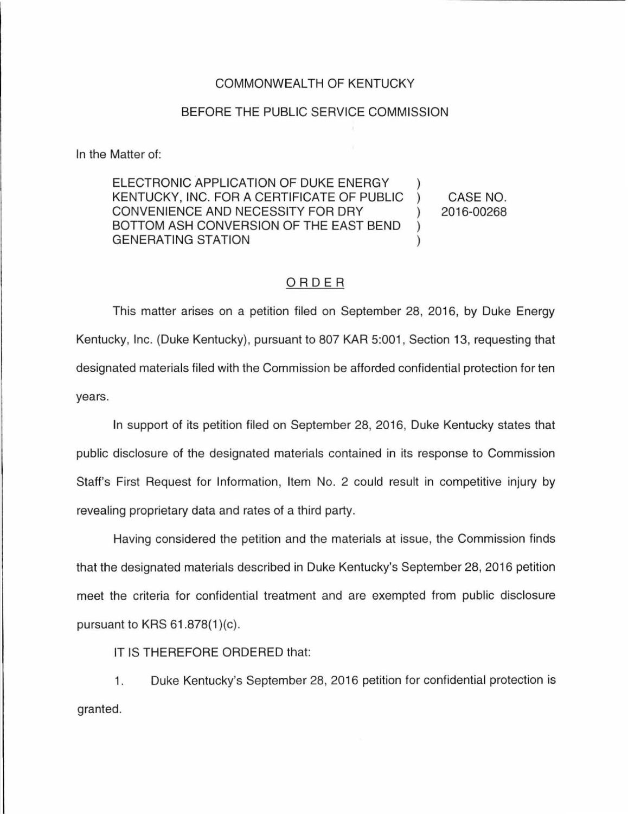## COMMONWEALTH OF KENTUCKY

## BEFORE THE PUBLIC SERVICE COMMISSION

In the Matter of:

ELECTRONIC APPLICATION OF DUKE ENERGY KENTUCKY, INC. FOR A CERTIFICATE OF PUBLIC ) CONVENIENCE AND NECESSITY FOR DRY  $( )$ BOTTOM ASH CONVERSION OF THE EAST BEND ) GENERATING STATION (1999)

CASE NO. 2016-00268

## ORDER

This matter arises on a petition filed on September 28, 2016, by Duke Energy Kentucky, Inc. (Duke Kentucky), pursuant to 807 KAR 5:001 , Section 13, requesting that designated materials filed with the Commission be afforded confidential protection for ten years.

In support of its petition filed on September 28, 2016, Duke Kentucky states that public disclosure of the designated materials contained in its response to Commission Staff's First Request for Information, Item No. 2 could result in competitive injury by revealing proprietary data and rates of a third party.

Having considered the petition and the materials at issue, the Commission finds that the designated materials described in Duke Kentucky's September 28, 2016 petition meet the criteria for confidential treatment and are exempted from public disclosure pursuant to KRS  $61.878(1)(c)$ .

IT IS THEREFORE ORDERED that:

1. Duke Kentucky's September 28, 2016 petition for confidential protection is granted.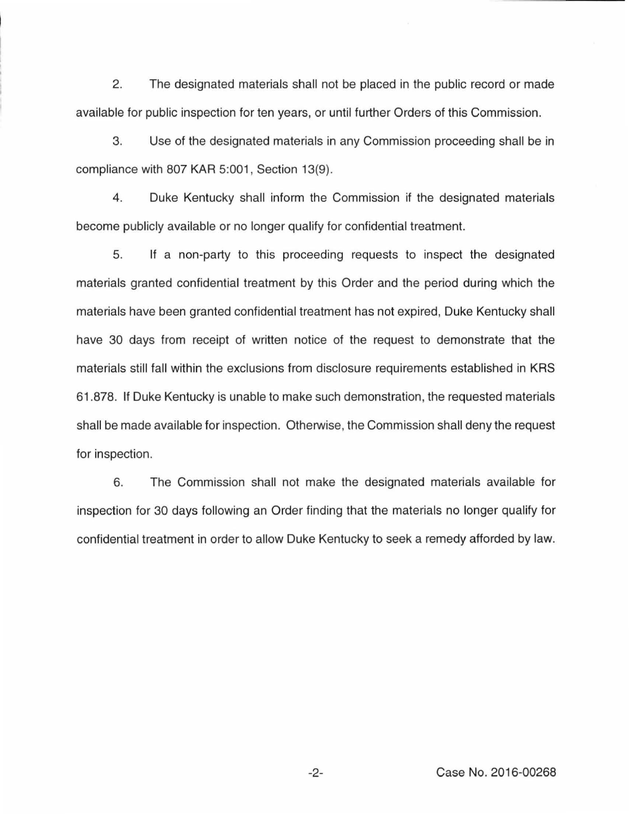2. The designated materials shall not be placed in the public record or made available for public inspection for ten years, or until further Orders of this Commission.

3. Use of the designated materials in any Commission proceeding shall be in compliance with 807 KAR 5:001, Section 13(9).

4. Duke Kentucky shall inform the Commission if the designated materials become publicly available or no longer qualify for confidential treatment.

5. If a non-party to this proceeding requests to inspect the designated materials granted confidential treatment by this Order and the period during which the materials have been granted confidential treatment has not expired, Duke Kentucky shall have 30 days from receipt of written notice of the request to demonstrate that the materials still fall within the exclusions from disclosure requirements established in KRS 61.878. If Duke Kentucky is unable to make such demonstration, the requested materials shall be made available for inspection. Otherwise, the Commission shall deny the request for inspection.

6. The Commission shall not make the designated materials available for inspection for 30 days following an Order finding that the materials no longer qualify for confidential treatment in order to allow Duke Kentucky to seek a remedy afforded by law.

-2- Case No. 2016-00268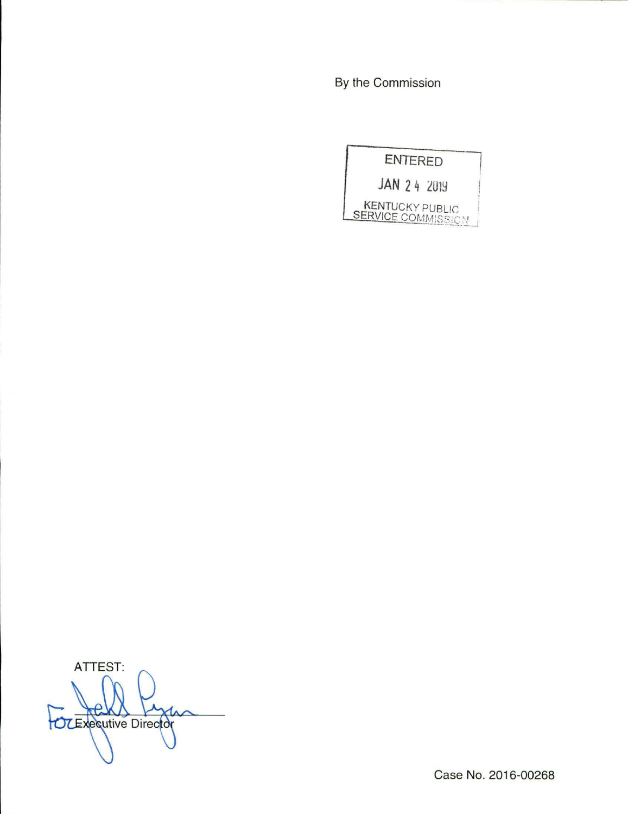By the Commission



ATTEST:  $\theta$ OCEXPQUING Director

Case No. 2016-00268